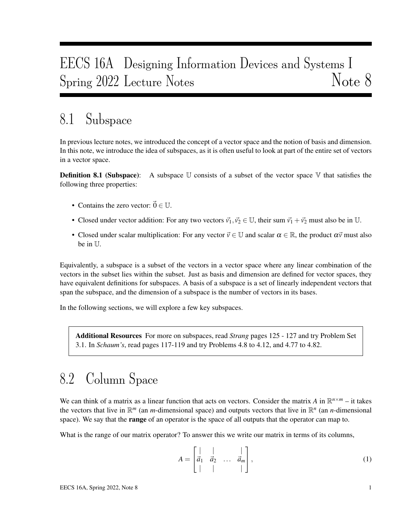# EECS 16A Designing Information Devices and Systems I Spring 2022 Lecture Notes Note 8

# 8.1 Subspace

In previous lecture notes, we introduced the concept of a vector space and the notion of basis and dimension. In this note, we introduce the idea of subspaces, as it is often useful to look at part of the entire set of vectors in a vector space.

**Definition 8.1 (Subspace):** A subspace  $\mathbb U$  consists of a subset of the vector space  $\mathbb V$  that satisfies the following three properties:

- Contains the zero vector:  $\vec{0} \in \mathbb{U}$ .
- Closed under vector addition: For any two vectors  $\vec{v_1}, \vec{v_2} \in \mathbb{U}$ , their sum  $\vec{v_1} + \vec{v_2}$  must also be in U.
- Closed under scalar multiplication: For any vector  $\vec{v} \in \mathbb{U}$  and scalar  $\alpha \in \mathbb{R}$ , the product  $\alpha \vec{v}$  must also be in U.

Equivalently, a subspace is a subset of the vectors in a vector space where any linear combination of the vectors in the subset lies within the subset. Just as basis and dimension are defined for vector spaces, they have equivalent definitions for subspaces. A basis of a subspace is a set of linearly independent vectors that span the subspace, and the dimension of a subspace is the number of vectors in its bases.

In the following sections, we will explore a few key subspaces.

Additional Resources For more on subspaces, read *Strang* pages 125 - 127 and try Problem Set 3.1. In *Schaum's*, read pages 117-119 and try Problems 4.8 to 4.12, and 4.77 to 4.82.

## 8.2 Column Space

We can think of a matrix as a linear function that acts on vectors. Consider the matrix *A* in  $\mathbb{R}^{n \times m}$  – it takes the vectors that live in  $\mathbb{R}^m$  (an *m*-dimensional space) and outputs vectors that live in  $\mathbb{R}^n$  (an *n*-dimensional space). We say that the **range** of an operator is the space of all outputs that the operator can map to.

What is the range of our matrix operator? To answer this we write our matrix in terms of its columns,

$$
A = \begin{bmatrix} | & | & | \\ \vec{a}_1 & \vec{a}_2 & \dots & \vec{a}_m \\ | & | & | & | \end{bmatrix},\tag{1}
$$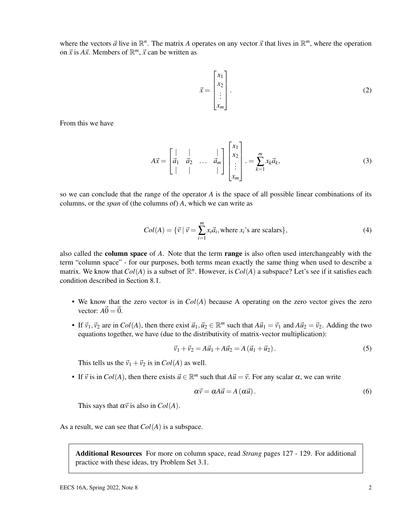where the vectors  $\vec{a}$  live in  $\mathbb{R}^n$ . The matrix *A* operates on any vector  $\vec{x}$  that lives in  $\mathbb{R}^m$ , where the operation on  $\vec{x}$  is  $A\vec{x}$ . Members of  $\mathbb{R}^m$ ,  $\vec{x}$  can be written as

$$
\vec{x} = \begin{bmatrix} x_1 \\ x_2 \\ \vdots \\ x_m \end{bmatrix} .
$$
 (2)

From this we have

$$
A\vec{x} = \begin{bmatrix} | & | & \cdots & | \\ \vec{a}_1 & \vec{a}_2 & \cdots & \vec{a}_m \\ | & | & \cdots & | \end{bmatrix} \begin{bmatrix} x_1 \\ x_2 \\ \vdots \\ x_m \end{bmatrix} \cdot = \sum_{k=1}^m x_k \vec{a}_k,\tag{3}
$$

so we can conclude that the range of the operator *A* is the space of all possible linear combinations of its columns, or the *span* of (the columns of) *A*, which we can write as

$$
Col(A) = \{ \vec{v} \mid \vec{v} = \sum_{i=1}^{m} x_i \vec{a}_i, \text{where } x_i \text{'s are scalars} \},\tag{4}
$$

also called the column space of *A*. Note that the term range is also often used interchangeably with the term "column space" - for our purposes, both terms mean exactly the same thing when used to describe a matrix. We know that  $Col(A)$  is a subset of  $\mathbb{R}^n$ . However, is  $Col(A)$  a subspace? Let's see if it satisfies each condition described in Section 8.1.

- We know that the zero vector is in *Col*(*A*) because A operating on the zero vector gives the zero vector:  $A\vec{0} = \vec{0}$ .
- If  $\vec{v}_1, \vec{v}_2$  are in  $Col(A)$ , then there exist  $\vec{u}_1, \vec{u}_2 \in \mathbb{R}^m$  such that  $A\vec{u}_1 = \vec{v}_1$  and  $A\vec{u}_2 = \vec{v}_2$ . Adding the two equations together, we have (due to the distributivity of matrix-vector multiplication):

$$
\vec{v}_1 + \vec{v}_2 = A\vec{u}_1 + A\vec{u}_2 = A(\vec{u}_1 + \vec{u}_2).
$$
 (5)

This tells us the  $\vec{v}_1 + \vec{v}_2$  is in *Col(A)* as well.

• If  $\vec{v}$  is in *Col*(*A*), then there exists  $\vec{u} \in \mathbb{R}^m$  such that  $A\vec{u} = \vec{v}$ . For any scalar  $\alpha$ , we can write

$$
\alpha \vec{v} = \alpha A \vec{u} = A (\alpha \vec{u}). \tag{6}
$$

This says that  $\alpha \vec{v}$  is also in *Col(A)*.

As a result, we can see that *Col*(*A*) is a subspace.

Additional Resources For more on column space, read *Strang* pages 127 - 129. For additional practice with these ideas, try Problem Set 3.1.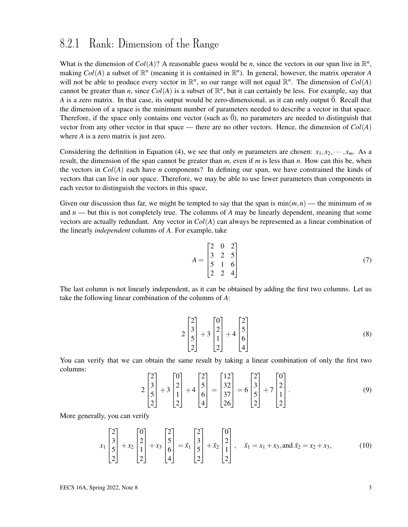#### 8.2.1 Rank: Dimension of the Range

What is the dimension of  $Col(A)$ ? A reasonable guess would be *n*, since the vectors in our span live in  $\mathbb{R}^n$ , making  $Col(A)$  a subset of  $\mathbb{R}^n$  (meaning it is contained in  $\mathbb{R}^n$ ). In general, however, the matrix operator *A* will not be able to produce every vector in  $\mathbb{R}^n$ , so our range will not equal  $\mathbb{R}^n$ . The dimension of  $Col(A)$ cannot be greater than *n*, since  $Col(A)$  is a subset of  $\mathbb{R}^n$ , but it can certainly be less. For example, say that *A* is a zero matrix. In that case, its output would be zero-dimensional, as it can only output  $\vec{0}$ . Recall that the dimension of a space is the minimum number of parameters needed to describe a vector in that space. Therefore, if the space only contains one vector (such as  $\vec{0}$ ), no parameters are needed to distinguish that vector from any other vector in that space — there are no other vectors. Hence, the dimension of *Col*(*A*) where *A* is a zero matrix is just zero.

Considering the definition in Equation (4), we see that only *m* parameters are chosen:  $x_1, x_2, \dots, x_m$ . As a result, the dimension of the span cannot be greater than *m*, even if *m* is less than *n*. How can this be, when the vectors in  $Col(A)$  each have *n* components? In defining our span, we have constrained the kinds of vectors that can live in our space. Therefore, we may be able to use fewer parameters than components in each vector to distinguish the vectors in this space.

Given our discussion thus far, we might be tempted to say that the span is  $\min(m, n)$  — the minimum of *m* and *n* — but this is not completely true. The columns of *A* may be linearly dependent, meaning that some vectors are actually redundant. Any vector in *Col*(*A*) can always be represented as a linear combination of the linearly *independent* columns of *A*. For example, take

$$
A = \begin{bmatrix} 2 & 0 & 2 \\ 3 & 2 & 5 \\ 5 & 1 & 6 \\ 2 & 2 & 4 \end{bmatrix}
$$
 (7)

The last column is not linearly independent, as it can be obtained by adding the first two columns. Let us take the following linear combination of the columns of *A*:

$$
2\begin{bmatrix} 2\\3\\5\\2 \end{bmatrix} + 3\begin{bmatrix} 0\\2\\1\\2 \end{bmatrix} + 4\begin{bmatrix} 2\\5\\6\\4 \end{bmatrix}
$$
 (8)

You can verify that we can obtain the same result by taking a linear combination of only the first two columns:

$$
2\begin{bmatrix} 2\\3\\5\\2 \end{bmatrix} + 3\begin{bmatrix} 0\\2\\1\\2 \end{bmatrix} + 4\begin{bmatrix} 2\\5\\6\\4 \end{bmatrix} = \begin{bmatrix} 12\\32\\37\\26 \end{bmatrix} = 6\begin{bmatrix} 2\\3\\5\\2 \end{bmatrix} + 7\begin{bmatrix} 0\\2\\1\\2 \end{bmatrix}.
$$
 (9)

More generally, you can verify

$$
x_1\begin{bmatrix} 2\\3\\5\\2 \end{bmatrix} + x_2\begin{bmatrix} 0\\2\\1\\2 \end{bmatrix} + x_3\begin{bmatrix} 2\\5\\6\\4 \end{bmatrix} = \tilde{x}_1\begin{bmatrix} 2\\3\\5\\2 \end{bmatrix} + \tilde{x}_2\begin{bmatrix} 0\\2\\1\\2 \end{bmatrix}, \quad \tilde{x}_1 = x_1 + x_3, \text{ and } \tilde{x}_2 = x_2 + x_3,
$$
 (10)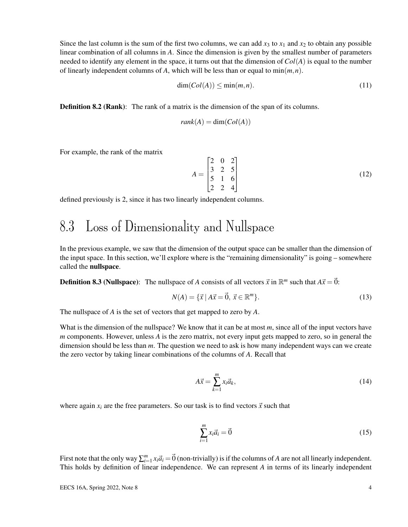Since the last column is the sum of the first two columns, we can add  $x_3$  to  $x_1$  and  $x_2$  to obtain any possible linear combination of all columns in *A*. Since the dimension is given by the smallest number of parameters needed to identify any element in the space, it turns out that the dimension of  $Col(A)$  is equal to the number of linearly independent columns of A, which will be less than or equal to  $\min(m, n)$ .

$$
\dim(Col(A)) \le \min(m, n). \tag{11}
$$

**Definition 8.2 (Rank):** The rank of a matrix is the dimension of the span of its columns.

$$
rank(A) = \dim(Col(A))
$$

For example, the rank of the matrix

$$
A = \begin{bmatrix} 2 & 0 & 2 \\ 3 & 2 & 5 \\ 5 & 1 & 6 \\ 2 & 2 & 4 \end{bmatrix}
$$
 (12)

defined previously is 2, since it has two linearly independent columns.

## 8.3 Loss of Dimensionality and Nullspace

In the previous example, we saw that the dimension of the output space can be smaller than the dimension of the input space. In this section, we'll explore where is the "remaining dimensionality" is going – somewhere called the nullspace.

**Definition 8.3 (Nullspace):** The nullspace of *A* consists of all vectors  $\vec{x}$  in  $\mathbb{R}^m$  such that  $A\vec{x} = \vec{0}$ :

$$
N(A) = \{ \vec{x} \mid A\vec{x} = \vec{0}, \ \vec{x} \in \mathbb{R}^m \}. \tag{13}
$$

The nullspace of *A* is the set of vectors that get mapped to zero by *A*.

What is the dimension of the nullspace? We know that it can be at most *m*, since all of the input vectors have *m* components. However, unless *A* is the zero matrix, not every input gets mapped to zero, so in general the dimension should be less than *m*. The question we need to ask is how many independent ways can we create the zero vector by taking linear combinations of the columns of *A*. Recall that

$$
A\vec{x} = \sum_{k=1}^{m} x_i \vec{a}_k, \qquad (14)
$$

where again  $x_i$  are the free parameters. So our task is to find vectors  $\vec{x}$  such that

$$
\sum_{i=1}^{m} x_i \vec{a}_i = \vec{0} \tag{15}
$$

First note that the only way  $\sum_{i=1}^{m} x_i \vec{a}_i = \vec{0}$  (non-trivially) is if the columns of *A* are not all linearly independent. This holds by definition of linear independence. We can represent *A* in terms of its linearly independent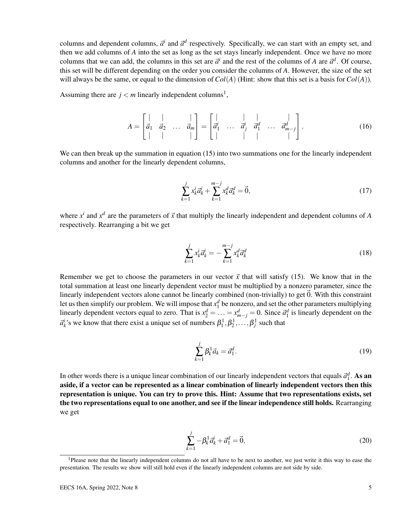columns and dependent columns,  $\vec{a}^i$  and  $\vec{a}^d$  respectively. Specifically, we can start with an empty set, and then we add columns of *A* into the set as long as the set stays linearly independent. Once we have no more columns that we can add, the columns in this set are  $\vec{a}^i$  and the rest of the columns of *A* are  $\vec{a}^d$ . Of course, this set will be different depending on the order you consider the columns of *A*. However, the size of the set will always be the same, or equal to the dimension of  $Col(A)$  (Hint: show that this set is a basis for  $Col(A)$ ).

Assuming there are  $j < m$  linearly independent columns<sup>1</sup>,

$$
A = \begin{bmatrix} | & | & | & | \\ \vec{a}_1 & \vec{a}_2 & \dots & \vec{a}_m \end{bmatrix} = \begin{bmatrix} | & | & | & | \\ \vec{a}_1^i & \dots & \vec{a}_j^i & \vec{a}_1^d & \dots & \vec{a}_{m-j}^d \end{bmatrix}.
$$
 (16)

We can then break up the summation in equation (15) into two summations one for the linearly independent columns and another for the linearly dependent columns,

$$
\sum_{k=1}^{j} x_k^i \vec{a}_k^i + \sum_{k=1}^{m-j} x_k^d \vec{a}_k^d = \vec{0},\tag{17}
$$

where  $x^i$  and  $x^d$  are the parameters of  $\vec{x}$  that multiply the linearly independent and dependent columns of *A* respectively. Rearranging a bit we get

$$
\sum_{k=1}^{j} x_k^i \vec{a}_k^i = -\sum_{k=1}^{m-j} x_k^d \vec{a}_k^d \tag{18}
$$

Remember we get to choose the parameters in our vector  $\vec{x}$  that will satisfy (15). We know that in the total summation at least one linearly dependent vector must be multiplied by a nonzero parameter, since the linearly independent vectors alone cannot be linearly combined (non-trivially) to get  $\vec{0}$ . With this constraint let us then simplify our problem. We will impose that  $x_1^d$  be nonzero, and set the other parameters multiplying linearly dependent vectors equal to zero. That is  $x_2^d = \ldots = x_{m-j}^d = 0$ . Since  $\vec{a}_1^d$  is linearly dependent on the  $\vec{a}_k^i$ 's we know that there exist a unique set of numbers  $\beta_1^1, \beta_2^1, \ldots, \beta_j^1$  such that

$$
\sum_{k=1}^{j} \beta_k^1 \vec{a}_k = \vec{a}_1^d.
$$
\n(19)

In other words there is a unique linear combination of our linearly independent vectors that equals  $\vec{a}_1^d$ . As an aside, if a vector can be represented as a linear combination of linearly independent vectors then this representation is unique. You can try to prove this. Hint: Assume that two representations exists, set the two representations equal to one another, and see if the linear independence still holds. Rearranging we get

$$
\sum_{k=1}^{j} -\beta_k^1 \vec{a}_k^i + \vec{a}_1^d = \vec{0},\tag{20}
$$

<sup>&</sup>lt;sup>1</sup>Please note that the linearly independent columns do not all have to be next to another, we just write it this way to ease the presentation. The results we show will still hold even if the linearly independent columns are not side by side.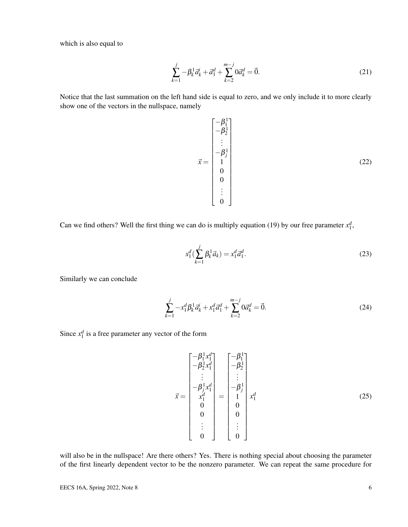which is also equal to

$$
\sum_{k=1}^{j} -\beta_k^1 \vec{a}_k^i + \vec{a}_1^d + \sum_{k=2}^{m-j} 0 \vec{a}_k^d = \vec{0}.
$$
 (21)

Notice that the last summation on the left hand side is equal to zero, and we only include it to more clearly show one of the vectors in the nullspace, namely

$$
\vec{x} = \begin{bmatrix} -\beta_1^1 \\ -\beta_2^1 \\ \vdots \\ -\beta_j^1 \\ 1 \\ 0 \\ 0 \\ \vdots \\ 0 \end{bmatrix}
$$
 (22)

Can we find others? Well the first thing we can do is multiply equation (19) by our free parameter  $x_1^d$ ,

$$
x_1^d \left( \sum_{k=1}^j \beta_k^1 \vec{a}_k \right) = x_1^d \vec{a}_1^d. \tag{23}
$$

Similarly we can conclude

$$
\sum_{k=1}^{j} -x_1^d \beta_k^1 \vec{a}_k^i + x_1^d \vec{a}_1^d + \sum_{k=2}^{m-j} 0 \vec{a}_k^d = \vec{0}.
$$
 (24)

Since  $x_1^d$  is a free parameter any vector of the form

$$
\vec{x} = \begin{bmatrix}\n-\beta_1^1 x_1^d \\
-\beta_2^1 x_1^d \\
\vdots \\
-\beta_j^1 x_1^d \\
x_1^d \\
0 \\
0 \\
\vdots \\
0\n\end{bmatrix} = \begin{bmatrix}\n-\beta_1^1 \\
-\beta_2^1 \\
\vdots \\
-\beta_j^1 \\
1 \\
0 \\
0 \\
0 \\
0 \\
\vdots \\
0\n\end{bmatrix} x_1^d
$$
\n(25)

will also be in the nullspace! Are there others? Yes. There is nothing special about choosing the parameter of the first linearly dependent vector to be the nonzero parameter. We can repeat the same procedure for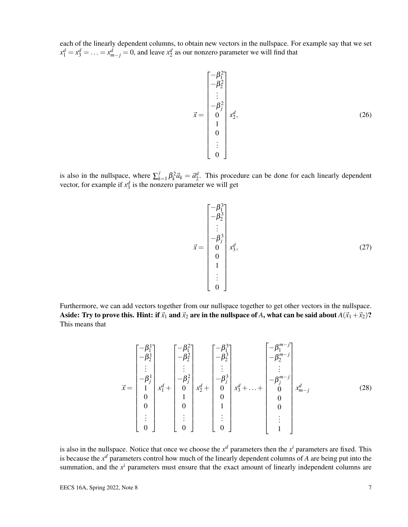each of the linearly dependent columns, to obtain new vectors in the nullspace. For example say that we set  $x_1^d = x_3^d = \ldots = x_{m-j}^d = 0$ , and leave  $x_2^d$  as our nonzero parameter we will find that

$$
\vec{x} = \begin{bmatrix} -\beta_1^2 \\ -\beta_2^2 \\ \vdots \\ -\beta_j^2 \\ 0 \\ 1 \\ 0 \\ 0 \\ \vdots \\ 0 \end{bmatrix} x_2^d,
$$
\n(26)

is also in the nullspace, where  $\sum_{k=1}^{j}$  $\int_{k=1}^{j} \beta_k^2 \vec{a}_k = \vec{a}_2^d$ . This procedure can be done for each linearly dependent vector, for example if  $x_3^d$  is the nonzero parameter we will get

$$
\vec{x} = \begin{bmatrix} -\beta_1^3 \\ -\beta_2^3 \\ \vdots \\ -\beta_j^3 \\ 0 \\ 0 \\ 1 \\ \vdots \\ 0 \end{bmatrix} x_3^d,
$$
\n(27)

Furthermore, we can add vectors together from our nullspace together to get other vectors in the nullspace. Aside: Try to prove this. Hint: if  $\vec{x}_1$  and  $\vec{x}_2$  are in the nullspace of *A*, what can be said about  $A(\vec{x}_1+\vec{x}_2)$ ? This means that

$$
\vec{x} = \begin{bmatrix} -\beta_1^1 \\ -\beta_2^1 \\ \vdots \\ -\beta_j^1 \\ 1 \\ 0 \\ 0 \\ \vdots \\ 0 \end{bmatrix} x_1^d + \begin{bmatrix} -\beta_1^2 \\ -\beta_2^2 \\ \vdots \\ -\beta_j^2 \\ 1 \\ 0 \\ 1 \\ 0 \\ \vdots \\ 0 \end{bmatrix} x_2^d + \begin{bmatrix} -\beta_1^3 \\ -\beta_2^3 \\ \vdots \\ -\beta_j^3 \\ 0 \\ 0 \\ 1 \\ 1 \\ \vdots \\ 0 \end{bmatrix} x_3^d + \dots + \begin{bmatrix} -\beta_1^{m-j} \\ -\beta_2^{m-j} \\ \vdots \\ -\beta_j^{m-j} \\ 0 \\ 0 \\ 0 \\ 0 \\ \vdots \\ 0 \end{bmatrix} x_{m-j}^d \qquad (28)
$$

is also in the nullspace. Notice that once we choose the  $x^d$  parameters then the  $x^i$  parameters are fixed. This is because the *x <sup>d</sup>* parameters control how much of the linearly dependent columns of *A* are being put into the summation, and the  $x^i$  parameters must ensure that the exact amount of linearly independent columns are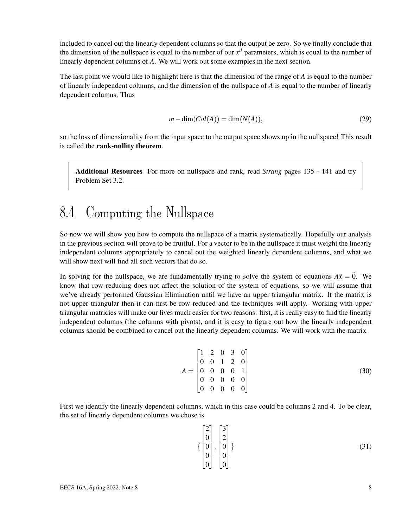included to cancel out the linearly dependent columns so that the output be zero. So we finally conclude that the dimension of the nullspace is equal to the number of our  $x<sup>d</sup>$  parameters, which is equal to the number of linearly dependent columns of *A*. We will work out some examples in the next section.

The last point we would like to highlight here is that the dimension of the range of *A* is equal to the number of linearly independent columns, and the dimension of the nullspace of *A* is equal to the number of linearly dependent columns. Thus

$$
m - \dim(Col(A)) = \dim(N(A)),\tag{29}
$$

so the loss of dimensionality from the input space to the output space shows up in the nullspace! This result is called the rank-nullity theorem.

Additional Resources For more on nullspace and rank, read *Strang* pages 135 - 141 and try Problem Set 3.2.

### 8.4 Computing the Nullspace

So now we will show you how to compute the nullspace of a matrix systematically. Hopefully our analysis in the previous section will prove to be fruitful. For a vector to be in the nullspace it must weight the linearly independent columns appropriately to cancel out the weighted linearly dependent columns, and what we will show next will find all such vectors that do so.

In solving for the nullspace, we are fundamentally trying to solve the system of equations  $A\vec{x} = \vec{0}$ . We know that row reducing does not affect the solution of the system of equations, so we will assume that we've already performed Gaussian Elimination until we have an upper triangular matrix. If the matrix is not upper triangular then it can first be row reduced and the techniques will apply. Working with upper triangular matricies will make our lives much easier for two reasons: first, it is really easy to find the linearly independent columns (the columns with pivots), and it is easy to figure out how the linearly independent columns should be combined to cancel out the linearly dependent columns. We will work with the matrix

$$
A = \begin{bmatrix} 1 & 2 & 0 & 3 & 0 \\ 0 & 0 & 1 & 2 & 0 \\ 0 & 0 & 0 & 0 & 1 \\ 0 & 0 & 0 & 0 & 0 \\ 0 & 0 & 0 & 0 & 0 \end{bmatrix}
$$
(30)

First we identify the linearly dependent columns, which in this case could be columns 2 and 4. To be clear, the set of linearly dependent columns we chose is

$$
\left\{ \begin{bmatrix} 2 \\ 0 \\ 0 \\ 0 \\ 0 \end{bmatrix}, \begin{bmatrix} 3 \\ 2 \\ 0 \\ 0 \\ 0 \end{bmatrix} \right\}
$$
\n(31)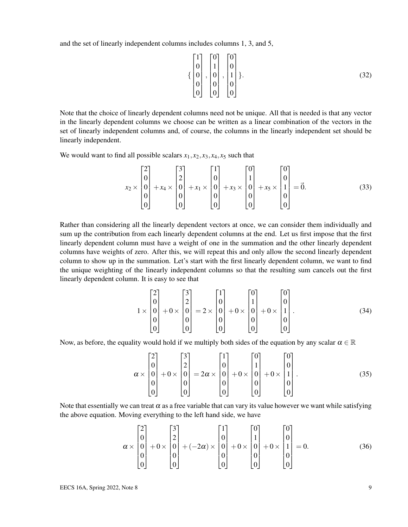and the set of linearly independent columns includes columns 1, 3, and 5,

$$
\left\{ \begin{bmatrix} 1 \\ 0 \\ 0 \\ 0 \\ 0 \end{bmatrix}, \begin{bmatrix} 0 \\ 1 \\ 0 \\ 0 \\ 0 \end{bmatrix}, \begin{bmatrix} 0 \\ 0 \\ 1 \\ 0 \\ 0 \end{bmatrix} \right\}.
$$
\n(32)

Note that the choice of linearly dependent columns need not be unique. All that is needed is that any vector in the linearly dependent columns we choose can be written as a linear combination of the vectors in the set of linearly independent columns and, of course, the columns in the linearly independent set should be linearly independent.

We would want to find all possible scalars  $x_1, x_2, x_3, x_4, x_5$  such that

$$
x_2 \times \begin{bmatrix} 2 \\ 0 \\ 0 \\ 0 \\ 0 \end{bmatrix} + x_4 \times \begin{bmatrix} 3 \\ 2 \\ 0 \\ 0 \\ 0 \end{bmatrix} + x_1 \times \begin{bmatrix} 1 \\ 0 \\ 0 \\ 0 \\ 0 \end{bmatrix} + x_3 \times \begin{bmatrix} 0 \\ 1 \\ 0 \\ 0 \\ 0 \end{bmatrix} + x_5 \times \begin{bmatrix} 0 \\ 0 \\ 1 \\ 0 \\ 0 \end{bmatrix} = \vec{0}.
$$
 (33)

Rather than considering all the linearly dependent vectors at once, we can consider them individually and sum up the contribution from each linearly dependent columns at the end. Let us first impose that the first linearly dependent column must have a weight of one in the summation and the other linearly dependent columns have weights of zero. After this, we will repeat this and only allow the second linearly dependent column to show up in the summation. Let's start with the first linearly dependent column, we want to find the unique weighting of the linearly independent columns so that the resulting sum cancels out the first linearly dependent column. It is easy to see that

$$
1 \times \begin{bmatrix} 2 \\ 0 \\ 0 \\ 0 \\ 0 \end{bmatrix} + 0 \times \begin{bmatrix} 3 \\ 2 \\ 0 \\ 0 \\ 0 \end{bmatrix} = 2 \times \begin{bmatrix} 1 \\ 0 \\ 0 \\ 0 \\ 0 \end{bmatrix} + 0 \times \begin{bmatrix} 0 \\ 1 \\ 0 \\ 0 \\ 0 \end{bmatrix} + 0 \times \begin{bmatrix} 0 \\ 0 \\ 1 \\ 0 \\ 0 \end{bmatrix}.
$$
 (34)

Now, as before, the equality would hold if we multiply both sides of the equation by any scalar  $\alpha \in \mathbb{R}$ 

$$
\alpha \times \begin{bmatrix} 2 \\ 0 \\ 0 \\ 0 \\ 0 \end{bmatrix} + 0 \times \begin{bmatrix} 3 \\ 2 \\ 0 \\ 0 \\ 0 \end{bmatrix} = 2\alpha \times \begin{bmatrix} 1 \\ 0 \\ 0 \\ 0 \\ 0 \end{bmatrix} + 0 \times \begin{bmatrix} 0 \\ 1 \\ 0 \\ 0 \\ 0 \end{bmatrix} + 0 \times \begin{bmatrix} 0 \\ 0 \\ 1 \\ 0 \\ 0 \end{bmatrix}.
$$
 (35)

Note that essentially we can treat  $\alpha$  as a free variable that can vary its value however we want while satisfying the above equation. Moving everything to the left hand side, we have

$$
\alpha \times \begin{bmatrix} 2 \\ 0 \\ 0 \\ 0 \\ 0 \end{bmatrix} + 0 \times \begin{bmatrix} 3 \\ 2 \\ 0 \\ 0 \\ 0 \end{bmatrix} + (-2\alpha) \times \begin{bmatrix} 1 \\ 0 \\ 0 \\ 0 \\ 0 \end{bmatrix} + 0 \times \begin{bmatrix} 0 \\ 1 \\ 0 \\ 0 \\ 0 \end{bmatrix} + 0 \times \begin{bmatrix} 0 \\ 0 \\ 1 \\ 0 \\ 0 \end{bmatrix} = 0.
$$
 (36)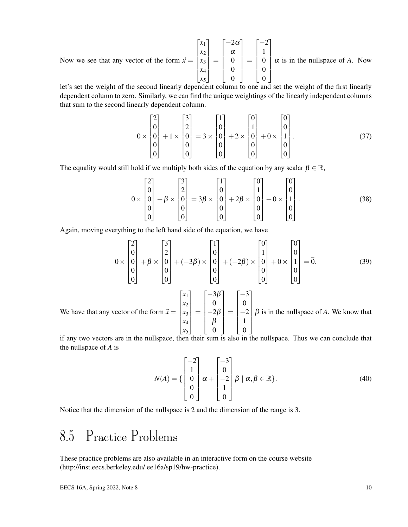Now we see that any vector of the form  $\vec{x} =$  $\sqrt{ }$  $\begin{array}{c} \begin{array}{c} \begin{array}{c} \end{array} \end{array} \\ \begin{array}{c} \end{array} \end{array} \end{array}$ *x*1 *x*2 *x*3 *x*4 *x*5 1  $\begin{array}{c} \begin{array}{c} \begin{array}{c} \begin{array}{c} \end{array} \\ \begin{array}{c} \end{array} \end{array} \end{array} \end{array}$ =  $\sqrt{ }$  $\begin{array}{|c|c|} \hline \quad \quad & \quad \quad & \quad \quad \\ \hline \quad \quad & \quad \quad & \quad \quad \\ \hline \quad \quad & \quad \quad & \quad \quad \\ \hline \end{array}$  $-2\alpha$ α 0 0 0 1  $\begin{array}{c} \begin{array}{c} \begin{array}{c} \begin{array}{c} \end{array} \\ \begin{array}{c} \end{array} \end{array} \end{array} \end{array}$ =  $\sqrt{ }$  $\begin{array}{|c|c|} \hline \quad \quad & \quad \quad & \quad \quad \\ \hline \quad \quad & \quad \quad & \quad \quad \\ \hline \quad \quad & \quad \quad & \quad \quad \\ \hline \end{array}$  $-2$ 1 0 0 0 1  $\begin{array}{c} \begin{array}{c} \begin{array}{c} \begin{array}{c} \end{array} \\ \begin{array}{c} \end{array} \\ \begin{array}{c} \end{array} \end{array} \end{array} \end{array}$  $\alpha$  is in the nullspace of  $A$ . Now

let's set the weight of the second linearly dependent column to one and set the weight of the first linearly dependent column to zero. Similarly, we can find the unique weightings of the linearly independent columns that sum to the second linearly dependent column.

$$
0 \times \begin{bmatrix} 2 \\ 0 \\ 0 \\ 0 \\ 0 \end{bmatrix} + 1 \times \begin{bmatrix} 3 \\ 2 \\ 0 \\ 0 \\ 0 \end{bmatrix} = 3 \times \begin{bmatrix} 1 \\ 0 \\ 0 \\ 0 \\ 0 \end{bmatrix} + 2 \times \begin{bmatrix} 0 \\ 1 \\ 0 \\ 0 \\ 0 \end{bmatrix} + 0 \times \begin{bmatrix} 0 \\ 0 \\ 1 \\ 0 \\ 0 \end{bmatrix}.
$$
 (37)

The equality would still hold if we multiply both sides of the equation by any scalar  $\beta \in \mathbb{R}$ ,

$$
0 \times \begin{bmatrix} 2 \\ 0 \\ 0 \\ 0 \\ 0 \end{bmatrix} + \beta \times \begin{bmatrix} 3 \\ 2 \\ 0 \\ 0 \\ 0 \end{bmatrix} = 3\beta \times \begin{bmatrix} 1 \\ 0 \\ 0 \\ 0 \\ 0 \end{bmatrix} + 2\beta \times \begin{bmatrix} 0 \\ 1 \\ 0 \\ 0 \\ 0 \end{bmatrix} + 0 \times \begin{bmatrix} 0 \\ 0 \\ 1 \\ 0 \\ 0 \end{bmatrix}.
$$
 (38)

Again, moving everything to the left hand side of the equation, we have

$$
0 \times \begin{bmatrix} 2 \\ 0 \\ 0 \\ 0 \\ 0 \end{bmatrix} + \beta \times \begin{bmatrix} 3 \\ 2 \\ 0 \\ 0 \\ 0 \end{bmatrix} + (-3\beta) \times \begin{bmatrix} 1 \\ 0 \\ 0 \\ 0 \\ 0 \end{bmatrix} + (-2\beta) \times \begin{bmatrix} 0 \\ 1 \\ 0 \\ 0 \\ 0 \end{bmatrix} + 0 \times \begin{bmatrix} 0 \\ 0 \\ 1 \\ 0 \\ 0 \end{bmatrix} = \vec{0}.
$$
 (39)

We have that any vector of the form  $\vec{x} =$  $\sqrt{ }$  $\overline{\phantom{a}}$ *x*1 *x*2 *x*3 *x*4 *x*5 1  $\begin{array}{c} \begin{array}{c} \begin{array}{c} \begin{array}{c} \end{array} \\ \begin{array}{c} \end{array} \end{array} \end{array} \end{array}$ =  $\sqrt{ }$   $-3\beta$ 0  $-2\beta$ β 0 1  $\begin{array}{c} \begin{array}{c} \begin{array}{c} \begin{array}{c} \end{array} \\ \begin{array}{c} \end{array} \end{array} \end{array} \end{array}$ =  $\sqrt{ }$  −3 0  $-2$ 1 0 1  $\begin{array}{c} \begin{array}{c} \begin{array}{c} \begin{array}{c} \end{array} \\ \begin{array}{c} \end{array} \end{array} \end{array} \end{array}$  $\beta$  is in the nullspace of  $A$ . We know that

if any two vectors are in the nullspace, then their sum is also in the nullspace. Thus we can conclude that the nullspace of *A* is

$$
N(A) = \left\{ \begin{bmatrix} -2 \\ 1 \\ 0 \\ 0 \\ 0 \end{bmatrix} \alpha + \begin{bmatrix} -3 \\ 0 \\ -2 \\ 1 \\ 0 \end{bmatrix} \beta \mid \alpha, \beta \in \mathbb{R} \right\}.
$$
 (40)

Notice that the dimension of the nullspace is 2 and the dimension of the range is 3.

## 8.5 Practice Problems

These practice problems are also available in an interactive form on the course website (http://inst.eecs.berkeley.edu/ ee16a/sp19/hw-practice).